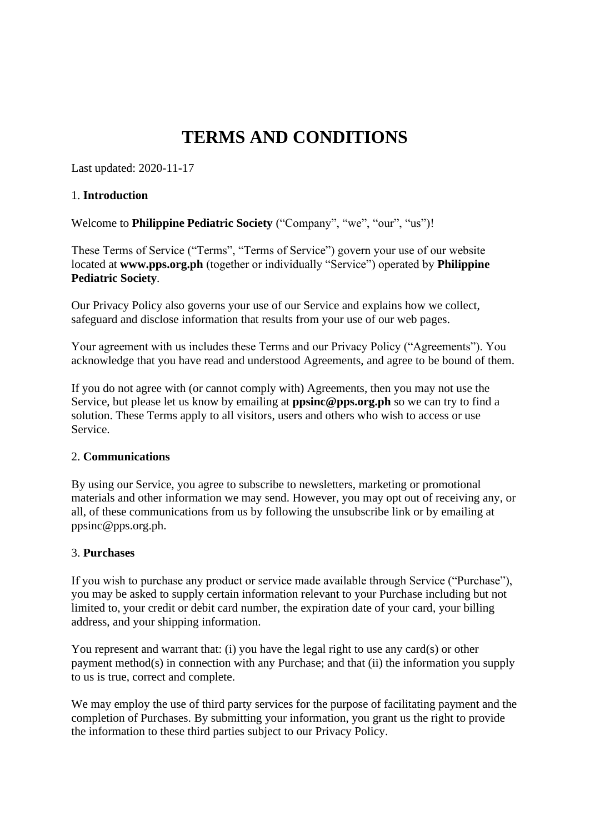# **TERMS AND CONDITIONS**

Last updated: 2020-11-17

#### 1. **Introduction**

Welcome to **Philippine Pediatric Society** ("Company", "we", "our", "us")!

These Terms of Service ("Terms", "Terms of Service") govern your use of our website located at **www.pps.org.ph** (together or individually "Service") operated by **Philippine Pediatric Society**.

Our Privacy Policy also governs your use of our Service and explains how we collect, safeguard and disclose information that results from your use of our web pages.

Your agreement with us includes these Terms and our Privacy Policy ("Agreements"). You acknowledge that you have read and understood Agreements, and agree to be bound of them.

If you do not agree with (or cannot comply with) Agreements, then you may not use the Service, but please let us know by emailing at **ppsinc@pps.org.ph** so we can try to find a solution. These Terms apply to all visitors, users and others who wish to access or use Service.

#### 2. **Communications**

By using our Service, you agree to subscribe to newsletters, marketing or promotional materials and other information we may send. However, you may opt out of receiving any, or all, of these communications from us by following the unsubscribe link or by emailing at ppsinc@pps.org.ph.

## 3. **Purchases**

If you wish to purchase any product or service made available through Service ("Purchase"), you may be asked to supply certain information relevant to your Purchase including but not limited to, your credit or debit card number, the expiration date of your card, your billing address, and your shipping information.

You represent and warrant that: (i) you have the legal right to use any card(s) or other payment method(s) in connection with any Purchase; and that (ii) the information you supply to us is true, correct and complete.

We may employ the use of third party services for the purpose of facilitating payment and the completion of Purchases. By submitting your information, you grant us the right to provide the information to these third parties subject to our Privacy Policy.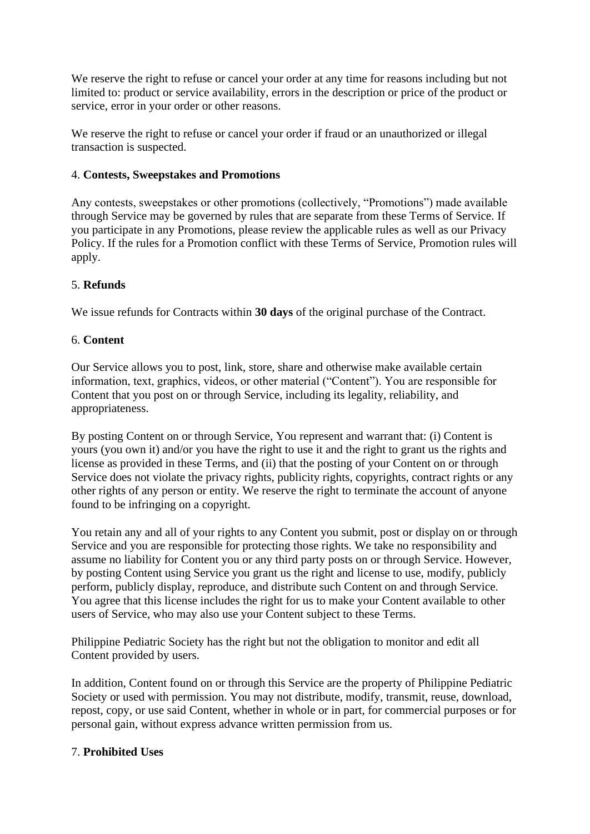We reserve the right to refuse or cancel your order at any time for reasons including but not limited to: product or service availability, errors in the description or price of the product or service, error in your order or other reasons.

We reserve the right to refuse or cancel your order if fraud or an unauthorized or illegal transaction is suspected.

## 4. **Contests, Sweepstakes and Promotions**

Any contests, sweepstakes or other promotions (collectively, "Promotions") made available through Service may be governed by rules that are separate from these Terms of Service. If you participate in any Promotions, please review the applicable rules as well as our Privacy Policy. If the rules for a Promotion conflict with these Terms of Service, Promotion rules will apply.

## 5. **Refunds**

We issue refunds for Contracts within **30 days** of the original purchase of the Contract.

#### 6. **Content**

Our Service allows you to post, link, store, share and otherwise make available certain information, text, graphics, videos, or other material ("Content"). You are responsible for Content that you post on or through Service, including its legality, reliability, and appropriateness.

By posting Content on or through Service, You represent and warrant that: (i) Content is yours (you own it) and/or you have the right to use it and the right to grant us the rights and license as provided in these Terms, and (ii) that the posting of your Content on or through Service does not violate the privacy rights, publicity rights, copyrights, contract rights or any other rights of any person or entity. We reserve the right to terminate the account of anyone found to be infringing on a copyright.

You retain any and all of your rights to any Content you submit, post or display on or through Service and you are responsible for protecting those rights. We take no responsibility and assume no liability for Content you or any third party posts on or through Service. However, by posting Content using Service you grant us the right and license to use, modify, publicly perform, publicly display, reproduce, and distribute such Content on and through Service. You agree that this license includes the right for us to make your Content available to other users of Service, who may also use your Content subject to these Terms.

Philippine Pediatric Society has the right but not the obligation to monitor and edit all Content provided by users.

In addition, Content found on or through this Service are the property of Philippine Pediatric Society or used with permission. You may not distribute, modify, transmit, reuse, download, repost, copy, or use said Content, whether in whole or in part, for commercial purposes or for personal gain, without express advance written permission from us.

#### 7. **Prohibited Uses**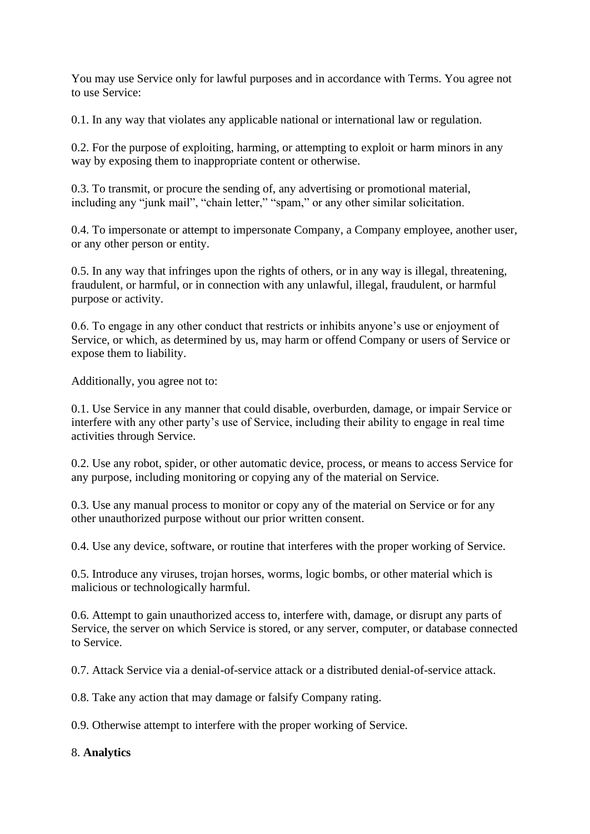You may use Service only for lawful purposes and in accordance with Terms. You agree not to use Service:

0.1. In any way that violates any applicable national or international law or regulation.

0.2. For the purpose of exploiting, harming, or attempting to exploit or harm minors in any way by exposing them to inappropriate content or otherwise.

0.3. To transmit, or procure the sending of, any advertising or promotional material, including any "junk mail", "chain letter," "spam," or any other similar solicitation.

0.4. To impersonate or attempt to impersonate Company, a Company employee, another user, or any other person or entity.

0.5. In any way that infringes upon the rights of others, or in any way is illegal, threatening, fraudulent, or harmful, or in connection with any unlawful, illegal, fraudulent, or harmful purpose or activity.

0.6. To engage in any other conduct that restricts or inhibits anyone's use or enjoyment of Service, or which, as determined by us, may harm or offend Company or users of Service or expose them to liability.

Additionally, you agree not to:

0.1. Use Service in any manner that could disable, overburden, damage, or impair Service or interfere with any other party's use of Service, including their ability to engage in real time activities through Service.

0.2. Use any robot, spider, or other automatic device, process, or means to access Service for any purpose, including monitoring or copying any of the material on Service.

0.3. Use any manual process to monitor or copy any of the material on Service or for any other unauthorized purpose without our prior written consent.

0.4. Use any device, software, or routine that interferes with the proper working of Service.

0.5. Introduce any viruses, trojan horses, worms, logic bombs, or other material which is malicious or technologically harmful.

0.6. Attempt to gain unauthorized access to, interfere with, damage, or disrupt any parts of Service, the server on which Service is stored, or any server, computer, or database connected to Service.

0.7. Attack Service via a denial-of-service attack or a distributed denial-of-service attack.

0.8. Take any action that may damage or falsify Company rating.

0.9. Otherwise attempt to interfere with the proper working of Service.

## 8. **Analytics**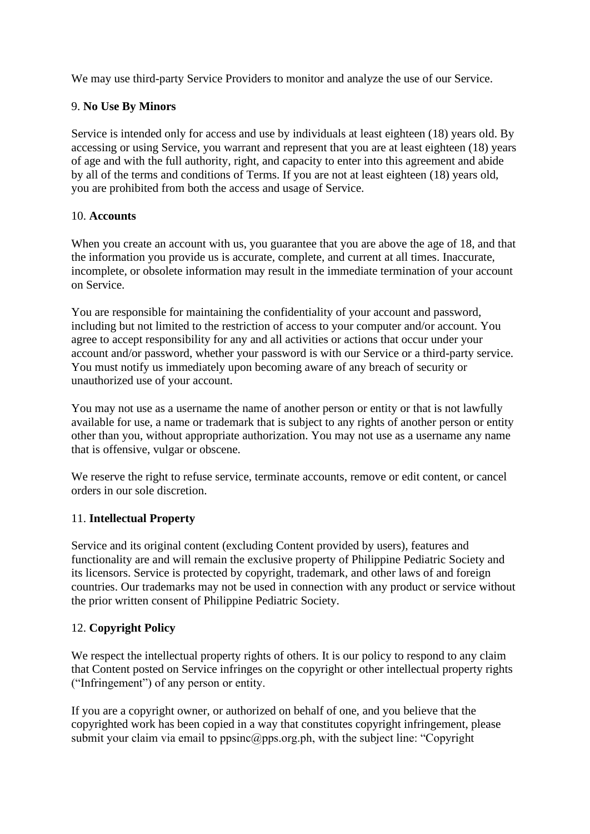We may use third-party Service Providers to monitor and analyze the use of our Service.

## 9. **No Use By Minors**

Service is intended only for access and use by individuals at least eighteen (18) years old. By accessing or using Service, you warrant and represent that you are at least eighteen (18) years of age and with the full authority, right, and capacity to enter into this agreement and abide by all of the terms and conditions of Terms. If you are not at least eighteen (18) years old, you are prohibited from both the access and usage of Service.

#### 10. **Accounts**

When you create an account with us, you guarantee that you are above the age of 18, and that the information you provide us is accurate, complete, and current at all times. Inaccurate, incomplete, or obsolete information may result in the immediate termination of your account on Service.

You are responsible for maintaining the confidentiality of your account and password, including but not limited to the restriction of access to your computer and/or account. You agree to accept responsibility for any and all activities or actions that occur under your account and/or password, whether your password is with our Service or a third-party service. You must notify us immediately upon becoming aware of any breach of security or unauthorized use of your account.

You may not use as a username the name of another person or entity or that is not lawfully available for use, a name or trademark that is subject to any rights of another person or entity other than you, without appropriate authorization. You may not use as a username any name that is offensive, vulgar or obscene.

We reserve the right to refuse service, terminate accounts, remove or edit content, or cancel orders in our sole discretion.

## 11. **Intellectual Property**

Service and its original content (excluding Content provided by users), features and functionality are and will remain the exclusive property of Philippine Pediatric Society and its licensors. Service is protected by copyright, trademark, and other laws of and foreign countries. Our trademarks may not be used in connection with any product or service without the prior written consent of Philippine Pediatric Society.

## 12. **Copyright Policy**

We respect the intellectual property rights of others. It is our policy to respond to any claim that Content posted on Service infringes on the copyright or other intellectual property rights ("Infringement") of any person or entity.

If you are a copyright owner, or authorized on behalf of one, and you believe that the copyrighted work has been copied in a way that constitutes copyright infringement, please submit your claim via email to ppsinc@pps.org.ph, with the subject line: "Copyright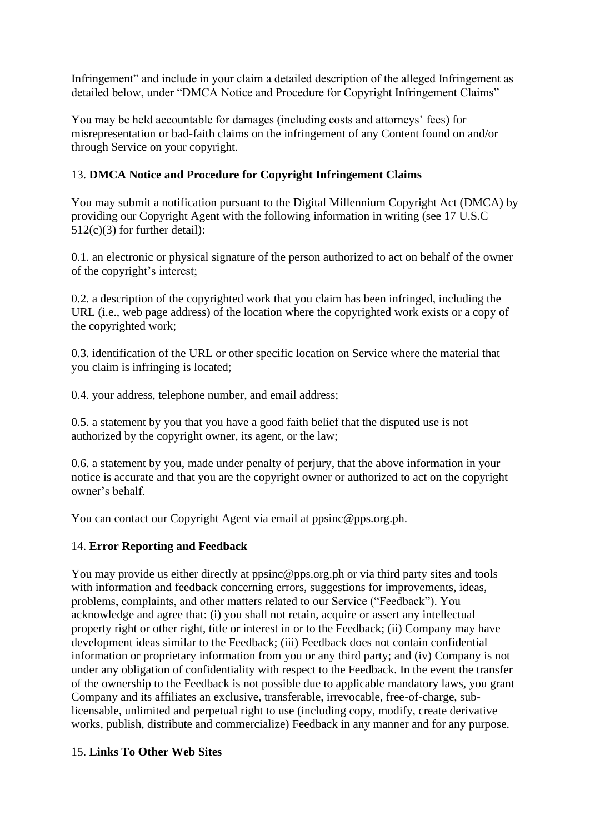Infringement" and include in your claim a detailed description of the alleged Infringement as detailed below, under "DMCA Notice and Procedure for Copyright Infringement Claims"

You may be held accountable for damages (including costs and attorneys' fees) for misrepresentation or bad-faith claims on the infringement of any Content found on and/or through Service on your copyright.

## 13. **DMCA Notice and Procedure for Copyright Infringement Claims**

You may submit a notification pursuant to the Digital Millennium Copyright Act (DMCA) by providing our Copyright Agent with the following information in writing (see 17 U.S.C  $512(c)(3)$  for further detail):

0.1. an electronic or physical signature of the person authorized to act on behalf of the owner of the copyright's interest;

0.2. a description of the copyrighted work that you claim has been infringed, including the URL (i.e., web page address) of the location where the copyrighted work exists or a copy of the copyrighted work;

0.3. identification of the URL or other specific location on Service where the material that you claim is infringing is located;

0.4. your address, telephone number, and email address;

0.5. a statement by you that you have a good faith belief that the disputed use is not authorized by the copyright owner, its agent, or the law;

0.6. a statement by you, made under penalty of perjury, that the above information in your notice is accurate and that you are the copyright owner or authorized to act on the copyright owner's behalf.

You can contact our Copyright Agent via email at ppsinc@pps.org.ph.

## 14. **Error Reporting and Feedback**

You may provide us either directly at ppsinc@pps.org.ph or via third party sites and tools with information and feedback concerning errors, suggestions for improvements, ideas, problems, complaints, and other matters related to our Service ("Feedback"). You acknowledge and agree that: (i) you shall not retain, acquire or assert any intellectual property right or other right, title or interest in or to the Feedback; (ii) Company may have development ideas similar to the Feedback; (iii) Feedback does not contain confidential information or proprietary information from you or any third party; and (iv) Company is not under any obligation of confidentiality with respect to the Feedback. In the event the transfer of the ownership to the Feedback is not possible due to applicable mandatory laws, you grant Company and its affiliates an exclusive, transferable, irrevocable, free-of-charge, sublicensable, unlimited and perpetual right to use (including copy, modify, create derivative works, publish, distribute and commercialize) Feedback in any manner and for any purpose.

## 15. **Links To Other Web Sites**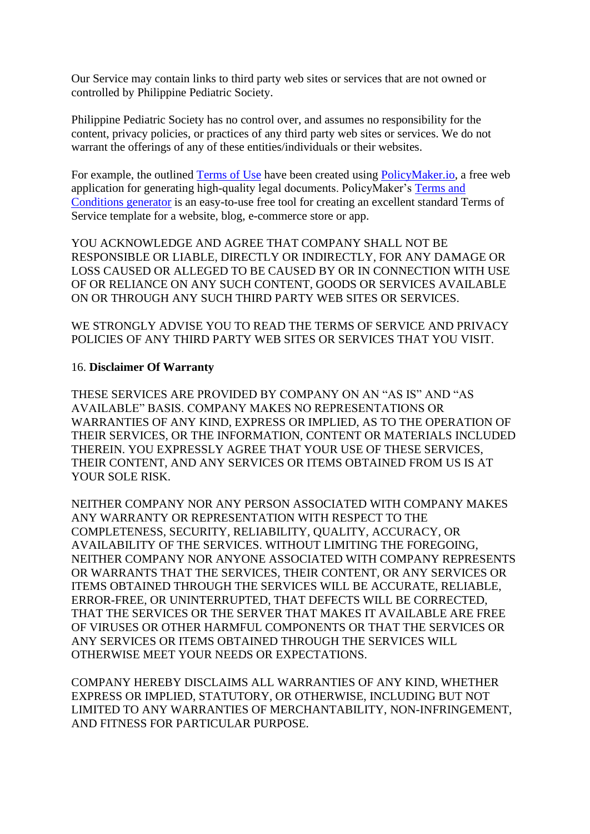Our Service may contain links to third party web sites or services that are not owned or controlled by Philippine Pediatric Society.

Philippine Pediatric Society has no control over, and assumes no responsibility for the content, privacy policies, or practices of any third party web sites or services. We do not warrant the offerings of any of these entities/individuals or their websites.

For example, the outlined [Terms of Use](https://policymaker.io/terms-and-conditions/) have been created using [PolicyMaker.io,](https://policymaker.io/) a free web application for generating high-quality legal documents. PolicyMaker's [Terms and](https://policymaker.io/terms-and-conditions/)  [Conditions generator](https://policymaker.io/terms-and-conditions/) is an easy-to-use free tool for creating an excellent standard Terms of Service template for a website, blog, e-commerce store or app.

YOU ACKNOWLEDGE AND AGREE THAT COMPANY SHALL NOT BE RESPONSIBLE OR LIABLE, DIRECTLY OR INDIRECTLY, FOR ANY DAMAGE OR LOSS CAUSED OR ALLEGED TO BE CAUSED BY OR IN CONNECTION WITH USE OF OR RELIANCE ON ANY SUCH CONTENT, GOODS OR SERVICES AVAILABLE ON OR THROUGH ANY SUCH THIRD PARTY WEB SITES OR SERVICES.

WE STRONGLY ADVISE YOU TO READ THE TERMS OF SERVICE AND PRIVACY POLICIES OF ANY THIRD PARTY WEB SITES OR SERVICES THAT YOU VISIT.

#### 16. **Disclaimer Of Warranty**

THESE SERVICES ARE PROVIDED BY COMPANY ON AN "AS IS" AND "AS AVAILABLE" BASIS. COMPANY MAKES NO REPRESENTATIONS OR WARRANTIES OF ANY KIND, EXPRESS OR IMPLIED, AS TO THE OPERATION OF THEIR SERVICES, OR THE INFORMATION, CONTENT OR MATERIALS INCLUDED THEREIN. YOU EXPRESSLY AGREE THAT YOUR USE OF THESE SERVICES, THEIR CONTENT, AND ANY SERVICES OR ITEMS OBTAINED FROM US IS AT YOUR SOLE RISK.

NEITHER COMPANY NOR ANY PERSON ASSOCIATED WITH COMPANY MAKES ANY WARRANTY OR REPRESENTATION WITH RESPECT TO THE COMPLETENESS, SECURITY, RELIABILITY, QUALITY, ACCURACY, OR AVAILABILITY OF THE SERVICES. WITHOUT LIMITING THE FOREGOING, NEITHER COMPANY NOR ANYONE ASSOCIATED WITH COMPANY REPRESENTS OR WARRANTS THAT THE SERVICES, THEIR CONTENT, OR ANY SERVICES OR ITEMS OBTAINED THROUGH THE SERVICES WILL BE ACCURATE, RELIABLE, ERROR-FREE, OR UNINTERRUPTED, THAT DEFECTS WILL BE CORRECTED, THAT THE SERVICES OR THE SERVER THAT MAKES IT AVAILABLE ARE FREE OF VIRUSES OR OTHER HARMFUL COMPONENTS OR THAT THE SERVICES OR ANY SERVICES OR ITEMS OBTAINED THROUGH THE SERVICES WILL OTHERWISE MEET YOUR NEEDS OR EXPECTATIONS.

COMPANY HEREBY DISCLAIMS ALL WARRANTIES OF ANY KIND, WHETHER EXPRESS OR IMPLIED, STATUTORY, OR OTHERWISE, INCLUDING BUT NOT LIMITED TO ANY WARRANTIES OF MERCHANTABILITY, NON-INFRINGEMENT, AND FITNESS FOR PARTICULAR PURPOSE.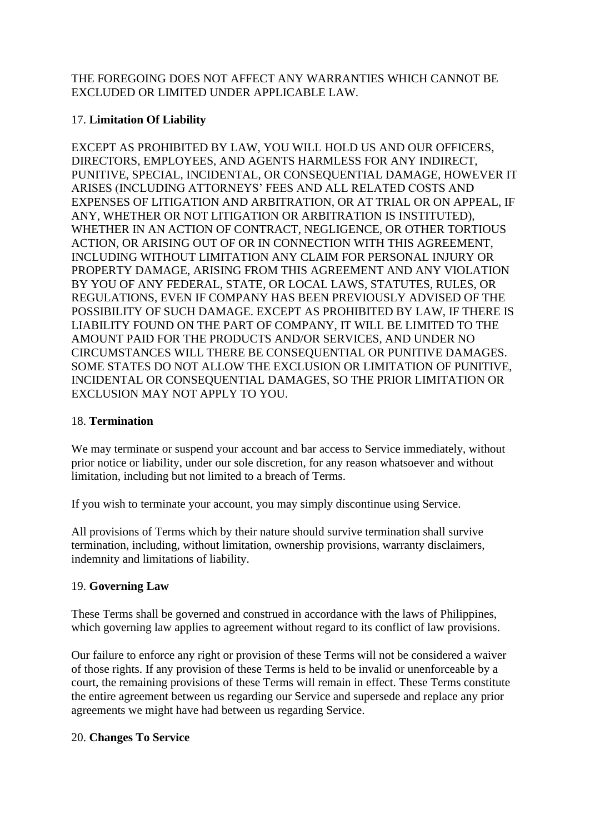THE FOREGOING DOES NOT AFFECT ANY WARRANTIES WHICH CANNOT BE EXCLUDED OR LIMITED UNDER APPLICABLE LAW.

## 17. **Limitation Of Liability**

EXCEPT AS PROHIBITED BY LAW, YOU WILL HOLD US AND OUR OFFICERS, DIRECTORS, EMPLOYEES, AND AGENTS HARMLESS FOR ANY INDIRECT, PUNITIVE, SPECIAL, INCIDENTAL, OR CONSEQUENTIAL DAMAGE, HOWEVER IT ARISES (INCLUDING ATTORNEYS' FEES AND ALL RELATED COSTS AND EXPENSES OF LITIGATION AND ARBITRATION, OR AT TRIAL OR ON APPEAL, IF ANY, WHETHER OR NOT LITIGATION OR ARBITRATION IS INSTITUTED), WHETHER IN AN ACTION OF CONTRACT, NEGLIGENCE, OR OTHER TORTIOUS ACTION, OR ARISING OUT OF OR IN CONNECTION WITH THIS AGREEMENT, INCLUDING WITHOUT LIMITATION ANY CLAIM FOR PERSONAL INJURY OR PROPERTY DAMAGE, ARISING FROM THIS AGREEMENT AND ANY VIOLATION BY YOU OF ANY FEDERAL, STATE, OR LOCAL LAWS, STATUTES, RULES, OR REGULATIONS, EVEN IF COMPANY HAS BEEN PREVIOUSLY ADVISED OF THE POSSIBILITY OF SUCH DAMAGE. EXCEPT AS PROHIBITED BY LAW, IF THERE IS LIABILITY FOUND ON THE PART OF COMPANY, IT WILL BE LIMITED TO THE AMOUNT PAID FOR THE PRODUCTS AND/OR SERVICES, AND UNDER NO CIRCUMSTANCES WILL THERE BE CONSEQUENTIAL OR PUNITIVE DAMAGES. SOME STATES DO NOT ALLOW THE EXCLUSION OR LIMITATION OF PUNITIVE, INCIDENTAL OR CONSEQUENTIAL DAMAGES, SO THE PRIOR LIMITATION OR EXCLUSION MAY NOT APPLY TO YOU.

## 18. **Termination**

We may terminate or suspend your account and bar access to Service immediately, without prior notice or liability, under our sole discretion, for any reason whatsoever and without limitation, including but not limited to a breach of Terms.

If you wish to terminate your account, you may simply discontinue using Service.

All provisions of Terms which by their nature should survive termination shall survive termination, including, without limitation, ownership provisions, warranty disclaimers, indemnity and limitations of liability.

# 19. **Governing Law**

These Terms shall be governed and construed in accordance with the laws of Philippines, which governing law applies to agreement without regard to its conflict of law provisions.

Our failure to enforce any right or provision of these Terms will not be considered a waiver of those rights. If any provision of these Terms is held to be invalid or unenforceable by a court, the remaining provisions of these Terms will remain in effect. These Terms constitute the entire agreement between us regarding our Service and supersede and replace any prior agreements we might have had between us regarding Service.

## 20. **Changes To Service**